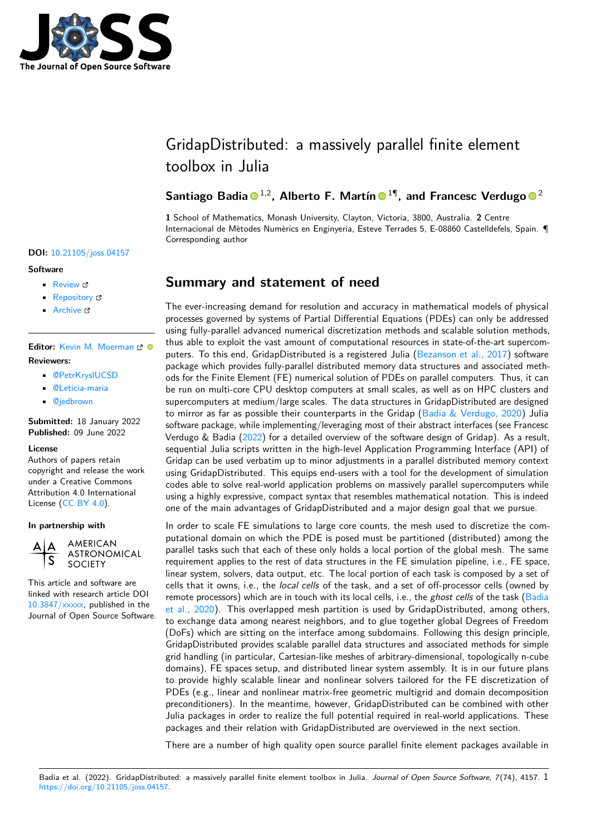

# GridapDistributed: a massively parallel finite element toolbox in Julia

### **Santiago Badia <sup>® 1,2</sup>, Alberto F. Martín <sup>® 1</sup>, and Francesc Verdugo <sup>® 2</sup>**

**1** School of Mathematics, Monash University, Clayton, Victoria, 3800, Australia. **2** Centre Internacional de Mètodes Numèrics en Enginyeria, Esteve Terrades 5, E-08860 Castelldefels, Spain. ¶ Corresponding author

#### **DOI:** [10.21105/joss.04157](https://doi.org/10.21105/joss.04157)

#### **Software**

- [Review](https://github.com/openjournals/joss-reviews/issues/4157) &
- [Repository](https://github.com/gridap/GridapDistributed.jl/) &
- [Archive](https://doi.org/10.5281/zenodo.6622081)

**Editor:** [Kevin M. Moerman](https://kevinmoerman.org) **Reviewers:**

- [@PetrKryslUCSD](https://github.com/PetrKryslUCSD)
- [@Leticia-maria](https://github.com/Leticia-maria)
- [@jedbrown](https://github.com/jedbrown)

**Submitted:** 18 January 2022 **Published:** 09 June 2022

#### **License**

Authors of papers retain copyright and release the work under a Creative Commons Attribution 4.0 International License [\(CC BY 4.0\)](https://creativecommons.org/licenses/by/4.0/).

**In partnership with**



**ASTRONOMICAL SOCIETY** 

**AMERICAN** 

This article and software are linked with research article DOI [10.3847/xxxxx,](https://doi.org/10.3847/xxxxx) published in the Journal of Open Source Software.

# **Summary and statement of need**

The ever-increasing demand for resolution and accuracy in mathematical models of physical processes governed by systems of Partial Differential Equations (PDEs) can only be addressed using fully-parallel advanced numerical discretization methods and scalable solution methods, thus able to exploit the vast amount of computational resources in state-of-the-art supercomputers. To this end, GridapDistributed is a registered Julia [\(Bezanson et al., 2017\)](#page-5-0) software package which provides fully-parallel distributed memory data structures and associated methods for the Finite Element (FE) numerical solution of PDEs on parallel computers. Thus, it can be run on multi-core CPU desktop computers at small scales, as well as on HPC clusters and supercomputers at medium/large scales. The data structures in GridapDistributed are designed to mirror as far as possible their counterparts in the Gridap [\(Badia & Verdugo, 2020\)](#page-5-1) Julia software package, while implementing/leveraging most of their abstract interfaces (see Francesc Verdugo & Badia [\(2022\)](#page-6-0) for a detailed overview of the software design of Gridap). As a result, sequential Julia scripts written in the high-level Application Programming Interface (API) of Gridap can be used verbatim up to minor adjustments in a parallel distributed memory context using GridapDistributed. This equips end-users with a tool for the development of simulation codes able to solve real-world application problems on massively parallel supercomputers while using a highly expressive, compact syntax that resembles mathematical notation. This is indeed one of the main advantages of GridapDistributed and a major design goal that we pursue.

In order to scale FE simulations to large core counts, the mesh used to discretize the computational domain on which the PDE is posed must be partitioned (distributed) among the parallel tasks such that each of these only holds a local portion of the global mesh. The same requirement applies to the rest of data structures in the FE simulation pipeline, i.e., FE space, linear system, solvers, data output, etc. The local portion of each task is composed by a set of cells that it owns, i.e., the local cells of the task, and a set of off-processor cells (owned by remote processors) which are in touch with its local cells, i.e., the *ghost cells* of the task [\(Badia](#page-5-2) [et al., 2020\)](#page-5-2). This overlapped mesh partition is used by GridapDistributed, among others, to exchange data among nearest neighbors, and to glue together global Degrees of Freedom (DoFs) which are sitting on the interface among subdomains. Following this design principle, GridapDistributed provides scalable parallel data structures and associated methods for simple grid handling (in particular, Cartesian-like meshes of arbitrary-dimensional, topologically n-cube domains), FE spaces setup, and distributed linear system assembly. It is in our future plans to provide highly scalable linear and nonlinear solvers tailored for the FE discretization of PDEs (e.g., linear and nonlinear matrix-free geometric multigrid and domain decomposition preconditioners). In the meantime, however, GridapDistributed can be combined with other Julia packages in order to realize the full potential required in real-world applications. These packages and their relation with GridapDistributed are overviewed in the next section.

There are a number of high quality open source parallel finite element packages available in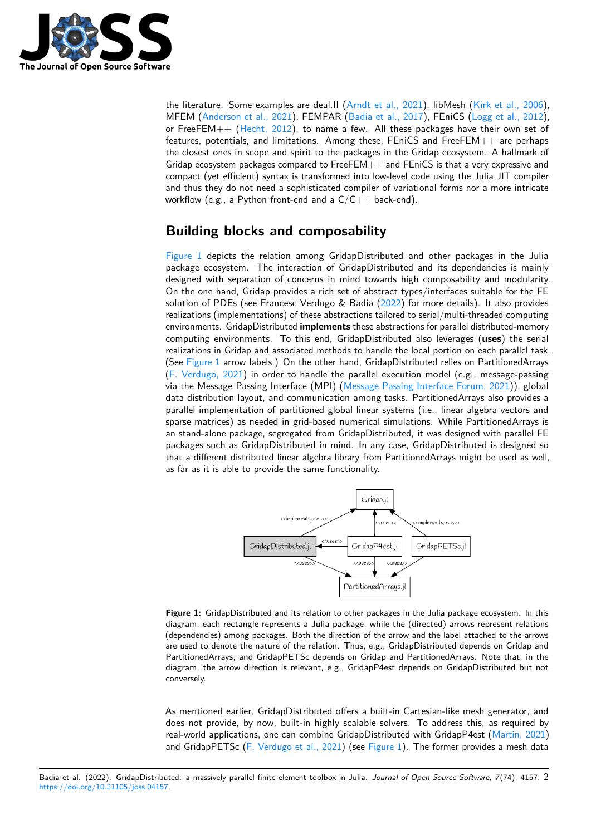

the literature. Some examples are deal.II [\(Arndt et al., 2021\)](#page-5-3), libMesh [\(Kirk et al., 2006\)](#page-5-4), MFEM [\(Anderson et al., 2021\)](#page-5-5), FEMPAR [\(Badia et al., 2017\)](#page-5-6), FEniCS [\(Logg et al., 2012\)](#page-5-7), or FreeFEM++ [\(Hecht, 2012\)](#page-5-8), to name a few. All these packages have their own set of features, potentials, and limitations. Among these, FEniCS and FreeFEM++ are perhaps the closest ones in scope and spirit to the packages in the Gridap ecosystem. A hallmark of Gridap ecosystem packages compared to  $FreeFEM++$  and  $FEnICS$  is that a very expressive and compact (yet efficient) syntax is transformed into low-level code using the Julia JIT compiler and thus they do not need a sophisticated compiler of variational forms nor a more intricate workflow (e.g., a Python front-end and a  $C/C++$  back-end).

# **Building blocks and composability**

[Figure 1](#page-1-0) depicts the relation among GridapDistributed and other packages in the Julia package ecosystem. The interaction of GridapDistributed and its dependencies is mainly designed with separation of concerns in mind towards high composability and modularity. On the one hand, Gridap provides a rich set of abstract types/interfaces suitable for the FE solution of PDEs (see Francesc Verdugo & Badia [\(2022\)](#page-6-0) for more details). It also provides realizations (implementations) of these abstractions tailored to serial/multi-threaded computing environments. GridapDistributed **implements** these abstractions for parallel distributed-memory computing environments. To this end, GridapDistributed also leverages (**uses**) the serial realizations in Gridap and associated methods to handle the local portion on each parallel task. (See [Figure 1](#page-1-0) arrow labels.) On the other hand, GridapDistributed relies on PartitionedArrays [\(F. Verdugo, 2021\)](#page-6-1) in order to handle the parallel execution model (e.g., message-passing via the Message Passing Interface (MPI) [\(Message Passing Interface Forum, 2021\)](#page-6-2)), global data distribution layout, and communication among tasks. PartitionedArrays also provides a parallel implementation of partitioned global linear systems (i.e., linear algebra vectors and sparse matrices) as needed in grid-based numerical simulations. While PartitionedArrays is an stand-alone package, segregated from GridapDistributed, it was designed with parallel FE packages such as GridapDistributed in mind. In any case, GridapDistributed is designed so that a different distributed linear algebra library from PartitionedArrays might be used as well, as far as it is able to provide the same functionality.

<span id="page-1-0"></span>

**Figure 1:** GridapDistributed and its relation to other packages in the Julia package ecosystem. In this diagram, each rectangle represents a Julia package, while the (directed) arrows represent relations (dependencies) among packages. Both the direction of the arrow and the label attached to the arrows are used to denote the nature of the relation. Thus, e.g., GridapDistributed depends on Gridap and PartitionedArrays, and GridapPETSc depends on Gridap and PartitionedArrays. Note that, in the diagram, the arrow direction is relevant, e.g., GridapP4est depends on GridapDistributed but not conversely.

As mentioned earlier, GridapDistributed offers a built-in Cartesian-like mesh generator, and does not provide, by now, built-in highly scalable solvers. To address this, as required by real-world applications, one can combine GridapDistributed with GridapP4est [\(Martin, 2021\)](#page-5-9) and GridapPETSc [\(F. Verdugo et al., 2021\)](#page-6-3) (see [Figure 1\)](#page-1-0). The former provides a mesh data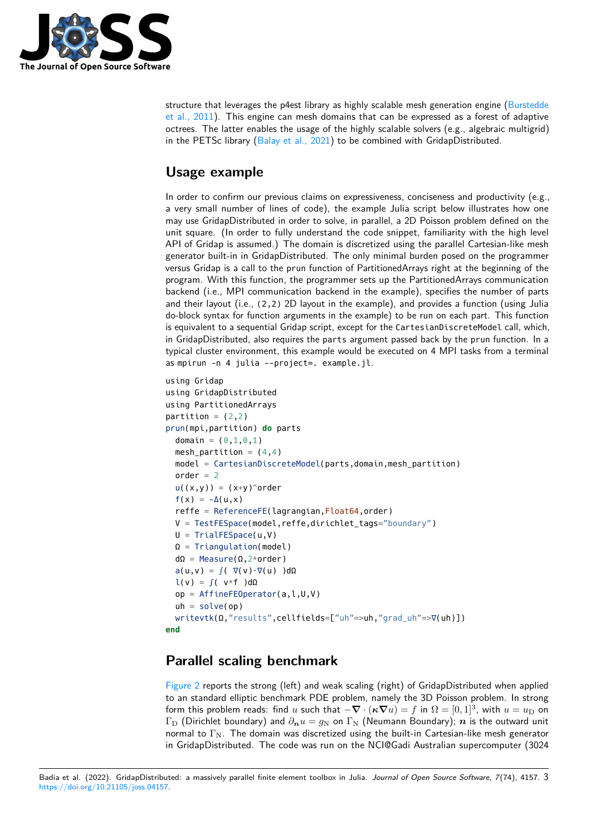

structure that leverages the p4est library as highly scalable mesh generation engine [\(Burstedde](#page-5-10) [et al., 2011\)](#page-5-10). This engine can mesh domains that can be expressed as a forest of adaptive octrees. The latter enables the usage of the highly scalable solvers (e.g., algebraic multigrid) in the PETSc library [\(Balay et al., 2021\)](#page-5-11) to be combined with GridapDistributed.

# **Usage example**

In order to confirm our previous claims on expressiveness, conciseness and productivity (e.g., a very small number of lines of code), the example Julia script below illustrates how one may use GridapDistributed in order to solve, in parallel, a 2D Poisson problem defined on the unit square. (In order to fully understand the code snippet, familiarity with the high level API of Gridap is assumed.) The domain is discretized using the parallel Cartesian-like mesh generator built-in in GridapDistributed. The only minimal burden posed on the programmer versus Gridap is a call to the prun function of PartitionedArrays right at the beginning of the program. With this function, the programmer sets up the PartitionedArrays communication backend (i.e., MPI communication backend in the example), specifies the number of parts and their layout (i.e., (2,2) 2D layout in the example), and provides a function (using Julia do-block syntax for function arguments in the example) to be run on each part. This function is equivalent to a sequential Gridap script, except for the CartesianDiscreteModel call, which, in GridapDistributed, also requires the parts argument passed back by the prun function. In a typical cluster environment, this example would be executed on 4 MPI tasks from a terminal as mpirun -n 4 julia --project=. example.jl.

```
using Gridap
using GridapDistributed
using PartitionedArrays
partition = (2,2)prun(mpi,partition) do parts
  domain = (0, 1, 0, 1)mesh_partition = (4,4)model = CartesianDiscreteModel(parts,domain,mesh_partition)
  order = 2u((x,y)) = (x+y)^{\wedge}order
  f(x) = -\Delta(u,x)reffe = ReferenceFE(lagrangian,Float64,order)
  V = TestFESpace(model,reffe,dirichlet_tags="boundary")
  U = TrialFESpace(u, V)\Omega = Triangulation(model)
  d\Omega = Measure(\Omega, 2*order)
  a(u,v) = \int (\nabla(v) \cdot \nabla(u)) d\Omegal(v) = \int (v \star f) d\Omegaop = AffineFEOperator(a,l,U,V)
  uh = solve(op)
  writevtk(Ω,"results",cellfields=["uh"=>uh,"grad_uh"=>∇(uh)])
end
```
### **Parallel scaling benchmark**

[Figure 2](#page-3-0) reports the strong (left) and weak scaling (right) of GridapDistributed when applied to an standard elliptic benchmark PDE problem, namely the 3D Poisson problem. In strong form this problem reads: find  $u$  such that  $-\bm{\nabla}\cdot(\bm{\kappa}\bm{\nabla}u)=f$  in  $\Omega=[0,1]^3$ , with  $u=u_\mathrm{D}$  on  $\Gamma_{\text{D}}$  (Dirichlet boundary) and  $\partial_{\textbf{n}}u = g_{\text{N}}$  on  $\Gamma_{\text{N}}$  (Neumann Boundary); *n* is the outward unit normal to  $\Gamma_{\text{N}}$ . The domain was discretized using the built-in Cartesian-like mesh generator in GridapDistributed. The code was run on the NCI@Gadi Australian supercomputer (3024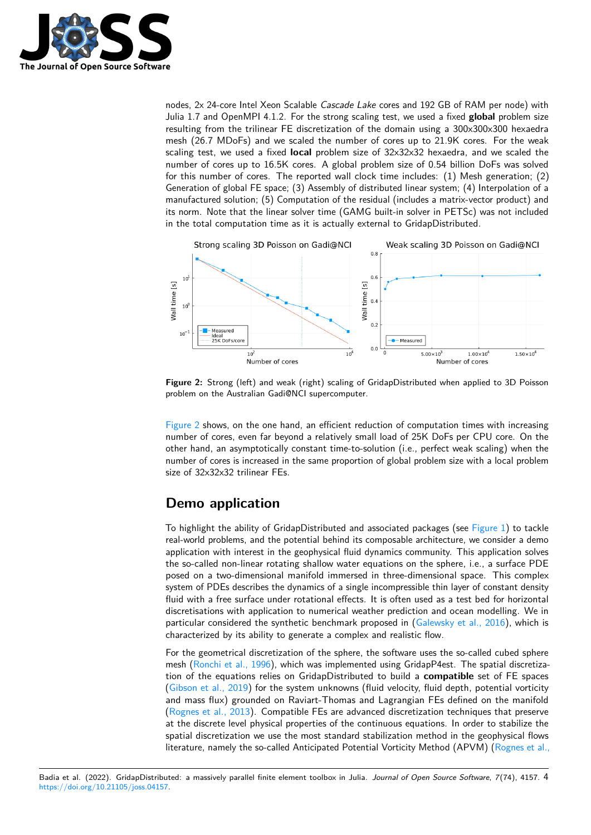

nodes, 2x 24-core Intel Xeon Scalable Cascade Lake cores and 192 GB of RAM per node) with Julia 1.7 and OpenMPI 4.1.2. For the strong scaling test, we used a fixed **global** problem size resulting from the trilinear FE discretization of the domain using a 300x300x300 hexaedra mesh (26.7 MDoFs) and we scaled the number of cores up to 21.9K cores. For the weak scaling test, we used a fixed **local** problem size of 32x32x32 hexaedra, and we scaled the number of cores up to 16.5K cores. A global problem size of 0.54 billion DoFs was solved for this number of cores. The reported wall clock time includes: (1) Mesh generation; (2) Generation of global FE space; (3) Assembly of distributed linear system; (4) Interpolation of a manufactured solution; (5) Computation of the residual (includes a matrix-vector product) and its norm. Note that the linear solver time (GAMG built-in solver in PETSc) was not included in the total computation time as it is actually external to GridapDistributed.

<span id="page-3-0"></span>

**Figure 2:** Strong (left) and weak (right) scaling of GridapDistributed when applied to 3D Poisson problem on the Australian Gadi@NCI supercomputer.

[Figure 2](#page-3-0) shows, on the one hand, an efficient reduction of computation times with increasing number of cores, even far beyond a relatively small load of 25K DoFs per CPU core. On the other hand, an asymptotically constant time-to-solution (i.e., perfect weak scaling) when the number of cores is increased in the same proportion of global problem size with a local problem size of 32x32x32 trilinear FEs.

# **Demo application**

To highlight the ability of GridapDistributed and associated packages (see [Figure 1\)](#page-1-0) to tackle real-world problems, and the potential behind its composable architecture, we consider a demo application with interest in the geophysical fluid dynamics community. This application solves the so-called non-linear rotating shallow water equations on the sphere, i.e., a surface PDE posed on a two-dimensional manifold immersed in three-dimensional space. This complex system of PDEs describes the dynamics of a single incompressible thin layer of constant density fluid with a free surface under rotational effects. It is often used as a test bed for horizontal discretisations with application to numerical weather prediction and ocean modelling. We in particular considered the synthetic benchmark proposed in [\(Galewsky et al., 2016\)](#page-5-12), which is characterized by its ability to generate a complex and realistic flow.

For the geometrical discretization of the sphere, the software uses the so-called cubed sphere mesh [\(Ronchi et al., 1996\)](#page-6-4), which was implemented using GridapP4est. The spatial discretization of the equations relies on GridapDistributed to build a **compatible** set of FE spaces [\(Gibson et al., 2019\)](#page-5-13) for the system unknowns (fluid velocity, fluid depth, potential vorticity and mass flux) grounded on Raviart-Thomas and Lagrangian FEs defined on the manifold [\(Rognes et al., 2013\)](#page-6-5). Compatible FEs are advanced discretization techniques that preserve at the discrete level physical properties of the continuous equations. In order to stabilize the spatial discretization we use the most standard stabilization method in the geophysical flows literature, namely the so-called Anticipated Potential Vorticity Method (APVM) [\(Rognes et al.,](#page-6-5)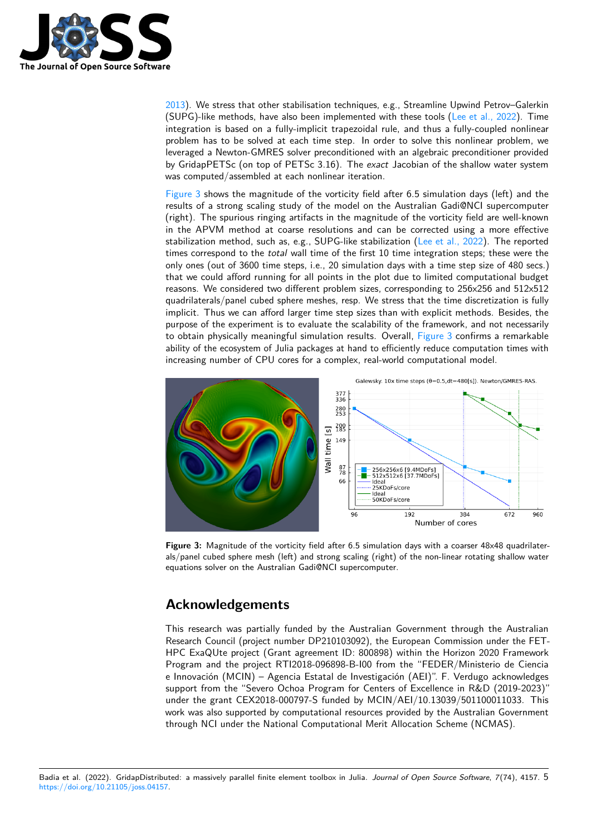

[2013\)](#page-6-5). We stress that other stabilisation techniques, e.g., Streamline Upwind Petrov–Galerkin (SUPG)-like methods, have also been implemented with these tools [\(Lee et al., 2022\)](#page-5-14). Time integration is based on a fully-implicit trapezoidal rule, and thus a fully-coupled nonlinear problem has to be solved at each time step. In order to solve this nonlinear problem, we leveraged a Newton-GMRES solver preconditioned with an algebraic preconditioner provided by GridapPETSc (on top of PETSc 3.16). The exact Jacobian of the shallow water system was computed/assembled at each nonlinear iteration.

[Figure 3](#page-4-0) shows the magnitude of the vorticity field after 6.5 simulation days (left) and the results of a strong scaling study of the model on the Australian Gadi@NCI supercomputer (right). The spurious ringing artifacts in the magnitude of the vorticity field are well-known in the APVM method at coarse resolutions and can be corrected using a more effective stabilization method, such as, e.g., SUPG-like stabilization [\(Lee et al., 2022\)](#page-5-14). The reported times correspond to the total wall time of the first 10 time integration steps; these were the only ones (out of 3600 time steps, i.e., 20 simulation days with a time step size of 480 secs.) that we could afford running for all points in the plot due to limited computational budget reasons. We considered two different problem sizes, corresponding to 256x256 and 512x512 quadrilaterals/panel cubed sphere meshes, resp. We stress that the time discretization is fully implicit. Thus we can afford larger time step sizes than with explicit methods. Besides, the purpose of the experiment is to evaluate the scalability of the framework, and not necessarily to obtain physically meaningful simulation results. Overall, [Figure 3](#page-4-0) confirms a remarkable ability of the ecosystem of Julia packages at hand to efficiently reduce computation times with increasing number of CPU cores for a complex, real-world computational model.

<span id="page-4-0"></span>

**Figure 3:** Magnitude of the vorticity field after 6.5 simulation days with a coarser 48x48 quadrilaterals/panel cubed sphere mesh (left) and strong scaling (right) of the non-linear rotating shallow water equations solver on the Australian Gadi@NCI supercomputer.

### **Acknowledgements**

This research was partially funded by the Australian Government through the Australian Research Council (project number DP210103092), the European Commission under the FET-HPC ExaQUte project (Grant agreement ID: 800898) within the Horizon 2020 Framework Program and the project RTI2018-096898-B-I00 from the "FEDER/Ministerio de Ciencia e Innovación (MCIN) – Agencia Estatal de Investigación (AEI)". F. Verdugo acknowledges support from the "Severo Ochoa Program for Centers of Excellence in R&D (2019-2023)" under the grant CEX2018-000797-S funded by MCIN/AEI/10.13039/501100011033. This work was also supported by computational resources provided by the Australian Government through NCI under the National Computational Merit Allocation Scheme (NCMAS).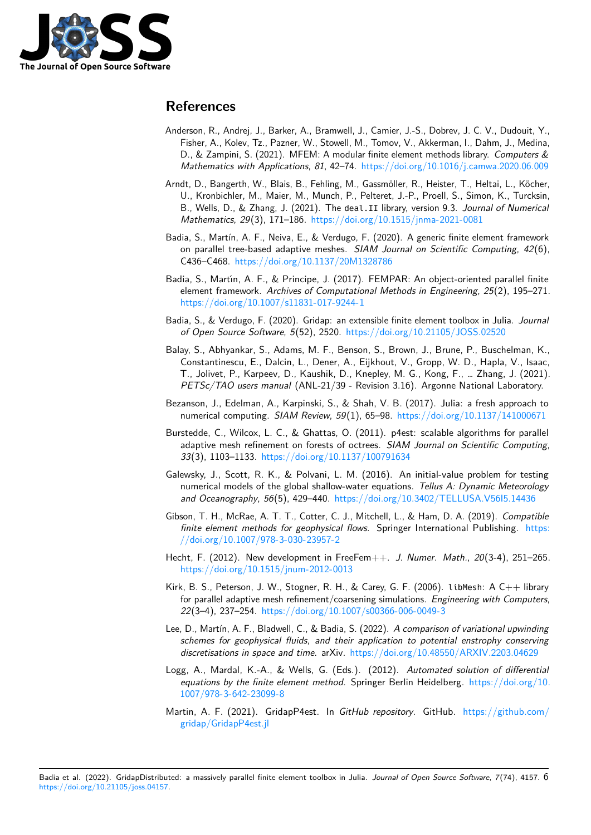

## **References**

- <span id="page-5-5"></span>Anderson, R., Andrej, J., Barker, A., Bramwell, J., Camier, J.-S., Dobrev, J. C. V., Dudouit, Y., Fisher, A., Kolev, Tz., Pazner, W., Stowell, M., Tomov, V., Akkerman, I., Dahm, J., Medina, D., & Zampini, S. (2021). MFEM: A modular finite element methods library. Computers & Mathematics with Applications, 81, 42–74. <https://doi.org/10.1016/j.camwa.2020.06.009>
- <span id="page-5-3"></span>Arndt, D., Bangerth, W., Blais, B., Fehling, M., Gassmöller, R., Heister, T., Heltai, L., Köcher, U., Kronbichler, M., Maier, M., Munch, P., Pelteret, J.-P., Proell, S., Simon, K., Turcksin, B., Wells, D., & Zhang, J. (2021). The deal.II library, version 9.3. Journal of Numerical Mathematics, 29(3), 171–186. <https://doi.org/10.1515/jnma-2021-0081>
- <span id="page-5-2"></span>Badia, S., Martín, A. F., Neiva, E., & Verdugo, F. (2020). A generic finite element framework on parallel tree-based adaptive meshes. SIAM Journal on Scientific Computing, 42(6), C436–C468. <https://doi.org/10.1137/20M1328786>
- <span id="page-5-6"></span>Badia, S., Martín, A. F., & Principe, J. (2017). FEMPAR: An object-oriented parallel finite element framework. Archives of Computational Methods in Engineering, 25(2), 195–271. <https://doi.org/10.1007/s11831-017-9244-1>
- <span id="page-5-1"></span>Badia, S., & Verdugo, F. (2020). Gridap: an extensible finite element toolbox in Julia. Journal of Open Source Software, 5(52), 2520. <https://doi.org/10.21105/JOSS.02520>
- <span id="page-5-11"></span>Balay, S., Abhyankar, S., Adams, M. F., Benson, S., Brown, J., Brune, P., Buschelman, K., Constantinescu, E., Dalcin, L., Dener, A., Eijkhout, V., Gropp, W. D., Hapla, V., Isaac, T., Jolivet, P., Karpeev, D., Kaushik, D., Knepley, M. G., Kong, F., … Zhang, J. (2021). PETSc/TAO users manual (ANL-21/39 - Revision 3.16). Argonne National Laboratory.
- <span id="page-5-0"></span>Bezanson, J., Edelman, A., Karpinski, S., & Shah, V. B. (2017). Julia: a fresh approach to numerical computing. SIAM Review, 59(1), 65–98. <https://doi.org/10.1137/141000671>
- <span id="page-5-10"></span>Burstedde, C., Wilcox, L. C., & Ghattas, O. (2011). p4est: scalable algorithms for parallel adaptive mesh refinement on forests of octrees. SIAM Journal on Scientific Computing, 33(3), 1103–1133. <https://doi.org/10.1137/100791634>
- <span id="page-5-12"></span>Galewsky, J., Scott, R. K., & Polvani, L. M. (2016). An initial-value problem for testing numerical models of the global shallow-water equations. Tellus A: Dynamic Meteorology and Oceanography, 56(5), 429–440. <https://doi.org/10.3402/TELLUSA.V56I5.14436>
- <span id="page-5-13"></span>Gibson, T. H., McRae, A. T. T., Cotter, C. J., Mitchell, L., & Ham, D. A. (2019). Compatible finite element methods for geophysical flows. Springer International Publishing. [https:](https://doi.org/10.1007/978-3-030-23957-2) [//doi.org/10.1007/978-3-030-23957-2](https://doi.org/10.1007/978-3-030-23957-2)
- <span id="page-5-8"></span>Hecht, F. (2012). New development in FreeFem++. J. Numer. Math., 20(3-4), 251-265. <https://doi.org/10.1515/jnum-2012-0013>
- <span id="page-5-4"></span>Kirk, B. S., Peterson, J. W., Stogner, R. H., & Carey, G. F. (2006). libMesh: A C++ library for parallel adaptive mesh refinement/coarsening simulations. Engineering with Computers, 22(3–4), 237–254. <https://doi.org/10.1007/s00366-006-0049-3>
- <span id="page-5-14"></span>Lee, D., Martín, A. F., Bladwell, C., & Badia, S. (2022). A comparison of variational upwinding schemes for geophysical fluids, and their application to potential enstrophy conserving discretisations in space and time. arXiv. <https://doi.org/10.48550/ARXIV.2203.04629>
- <span id="page-5-7"></span>Logg, A., Mardal, K.-A., & Wells, G. (Eds.). (2012). Automated solution of differential equations by the finite element method. Springer Berlin Heidelberg. [https://doi.org/10.](https://doi.org/10.1007/978-3-642-23099-8) [1007/978-3-642-23099-8](https://doi.org/10.1007/978-3-642-23099-8)
- <span id="page-5-9"></span>Martin, A. F. (2021). GridapP4est. In GitHub repository. GitHub. [https://github.com/](https://github.com/gridap/GridapP4est.jl) [gridap/GridapP4est.jl](https://github.com/gridap/GridapP4est.jl)